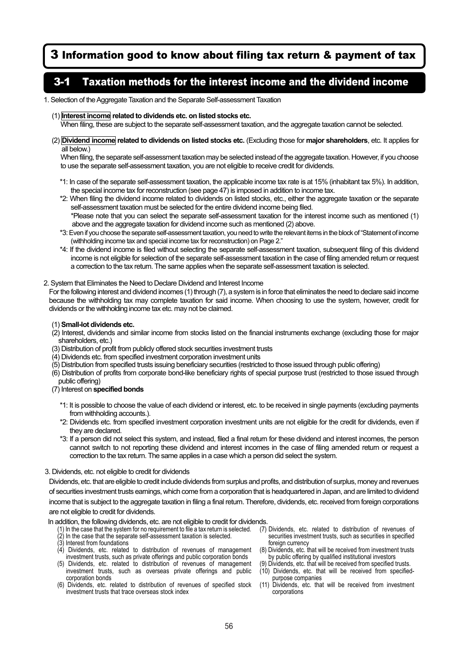# 3 Information good to know about filing tax return & payment of tax

## 3-1 Taxation methods for the interest income and the dividend income

#### 1. Selection of the Aggregate Taxation and the Separate Self-assessment Taxation

#### (1) **Interest income related to dividends etc. on listed stocks etc.**

When filing, these are subject to the separate self-assessment taxation, and the aggregate taxation cannot be selected.

(2) **Dividend income related to dividends on listed stocks etc.** (Excluding those for **major shareholders**, etc. It applies for all below.)

When filing, the separate self-assessment taxation may be selected instead of the aggregate taxation. However, if you choose to use the separate self-assessment taxation, you are not eligible to receive credit for dividends.

- \*1: In case of the separate self-assessment taxation, the applicable income tax rate is at 15% (inhabitant tax 5%). In addition, the special income tax for reconstruction (see page 47) is imposed in addition to income tax.
- \*2: When filing the dividend income related to dividends on listed stocks, etc., either the aggregate taxation or the separate self-assessment taxation must be selected for the entire dividend income being filed. \*Please note that you can select the separate self-assessment taxation for the interest income such as mentioned (1)
- above and the aggregate taxation for dividend income such as mentioned (2) above.
- \*3: Even if you choose the separate self-assessment taxation, you need to write the relevant items in the block of "Statement of income (withholding income tax and special income tax for reconstruction) on Page 2."
- \*4: If the dividend income is filed without selecting the separate self-assessment taxation, subsequent filing of this dividend income is not eligible for selection of the separate self-assessment taxation in the case of filing amended return or request a correction to the tax return. The same applies when the separate self-assessment taxation is selected.

### 2. System that Eliminates the Need to Declare Dividend and Interest Income

For the following interest and dividend incomes (1) through (7), a system is in force that eliminates the need to declare said income because the withholding tax may complete taxation for said income. When choosing to use the system, however, credit for dividends or the withholding income tax etc. may not be claimed.

#### (1) **Small-lot dividends etc.**

- (2) Interest, dividends and similar income from stocks listed on the financial instruments exchange (excluding those for major shareholders, etc.)
- (3) Distribution of profit from publicly offered stock securities investment trusts
- (4) Dividends etc. from specified investment corporation investment units
- (5) Distribution from specified trusts issuing beneficiary securities (restricted to those issued through public offering)
- (6) Distribution of profits from corporate bond-like beneficiary rights of special purpose trust (restricted to those issued through public offering)

#### (7) Interest on **specified bonds**

- \*1: It is possible to choose the value of each dividend or interest, etc. to be received in single payments (excluding payments from withholding accounts.).
- \*2: Dividends etc. from specified investment corporation investment units are not eligible for the credit for dividends, even if they are declared.
- \*3: If a person did not select this system, and instead, filed a final return for these dividend and interest incomes, the person cannot switch to not reporting these dividend and interest incomes in the case of filing amended return or request a correction to the tax return. The same applies in a case which a person did select the system.

#### 3. Dividends, etc. not eligible to credit for dividends

Dividends, etc. that are eligible to credit include dividends from surplus and profits, and distribution of surplus, money and revenues of securities investment trusts earnings, which come from a corporation that is headquartered in Japan, and are limited to dividend income that is subject to the aggregate taxation in filing a final return. Therefore, dividends, etc. received from foreign corporations are not eligible to credit for dividends.

#### In addition, the following dividends, etc. are not eligible to credit for dividends.

- (1) In the case that the system for no requirement to file a tax return is selected. (2) In the case that the separate self-assessment taxation is selected.
- (3) Interest from foundations
- $(4)$  Dividends, etc. related to distribution of revenues of management investment trusts, such as private offerings and public corporation bonds
- (5) Dividends, etc. related to distribution of revenues of management investment trusts, such as overseas private offerings and public corporation bonds
- (6) Dividends, etc. related to distribution of revenues of specified stock investment trusts that trace overseas stock index
- (7) Dividends, etc. related to distribution of revenues of securities investment trusts, such as securities in specified foreign currency
- (8) Dividends, etc. that will be received from investment trusts by public offering by qualified institutional investors
- (9) Dividends, etc. that will be received from specified trusts. Dividends, etc. that will be received from specifiedpurpose companies
- (11) Dividends, etc. that will be received from investment corporations